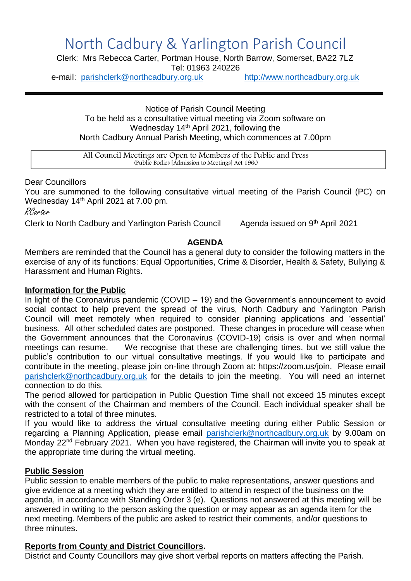# North Cadbury & Yarlington Parish Council

Clerk: Mrs Rebecca Carter, Portman House, North Barrow, Somerset, BA22 7LZ Tel: 01963 240226

e-mail: [parishclerk@northcadbury.org.uk](mailto:parishclerk@northcadbury.org.uk) [http://www.northcadbury.org.uk](http://www.northcadbury.org.uk/)

Notice of Parish Council Meeting To be held as a consultative virtual meeting via Zoom software on Wednesday 14<sup>th</sup> April 2021, following the North Cadbury Annual Parish Meeting, which commences at 7.00pm

All Council Meetings are Open to Members of the Public and Press (Public Bodies [Admission to Meetings] Act 1960

#### Dear Councillors

You are summoned to the following consultative virtual meeting of the Parish Council (PC) on Wednesday 14<sup>th</sup> April 2021 at 7.00 pm.

RCarter

Clerk to North Cadbury and Yarlington Parish Council

Agenda issued on 9th April 2021

#### **AGENDA**

Members are reminded that the Council has a general duty to consider the following matters in the exercise of any of its functions: Equal Opportunities, Crime & Disorder, Health & Safety, Bullying & Harassment and Human Rights.

#### **Information for the Public**

In light of the Coronavirus pandemic (COVID – 19) and the Government's announcement to avoid social contact to help prevent the spread of the virus, North Cadbury and Yarlington Parish Council will meet remotely when required to consider planning applications and 'essential' business. All other scheduled dates are postponed. These changes in procedure will cease when the Government announces that the Coronavirus (COVID-19) crisis is over and when normal meetings can resume. We recognise that these are challenging times, but we still value the public's contribution to our virtual consultative meetings. If you would like to participate and contribute in the meeting, please join on-line through Zoom at: https://zoom.us/join. Please email [parishclerk@northcadbury.org.uk](mailto:parishclerk@northcadbury.org.uk) for the details to join the meeting. You will need an internet connection to do this.

The period allowed for participation in Public Question Time shall not exceed 15 minutes except with the consent of the Chairman and members of the Council. Each individual speaker shall be restricted to a total of three minutes.

If you would like to address the virtual consultative meeting during either Public Session or regarding a Planning Application, please email [parishclerk@northcadbury.org.uk](mailto:parishclerk@northcadbury.org.uk) by 9.00am on Monday 22<sup>nd</sup> February 2021. When you have registered, the Chairman will invite you to speak at the appropriate time during the virtual meeting.

# **Public Session**

Public session to enable members of the public to make representations, answer questions and give evidence at a meeting which they are entitled to attend in respect of the business on the agenda, in accordance with Standing Order 3 (e). Questions not answered at this meeting will be answered in writing to the person asking the question or may appear as an agenda item for the next meeting. Members of the public are asked to restrict their comments, and/or questions to three minutes.

# **Reports from County and District Councillors.**

District and County Councillors may give short verbal reports on matters affecting the Parish.